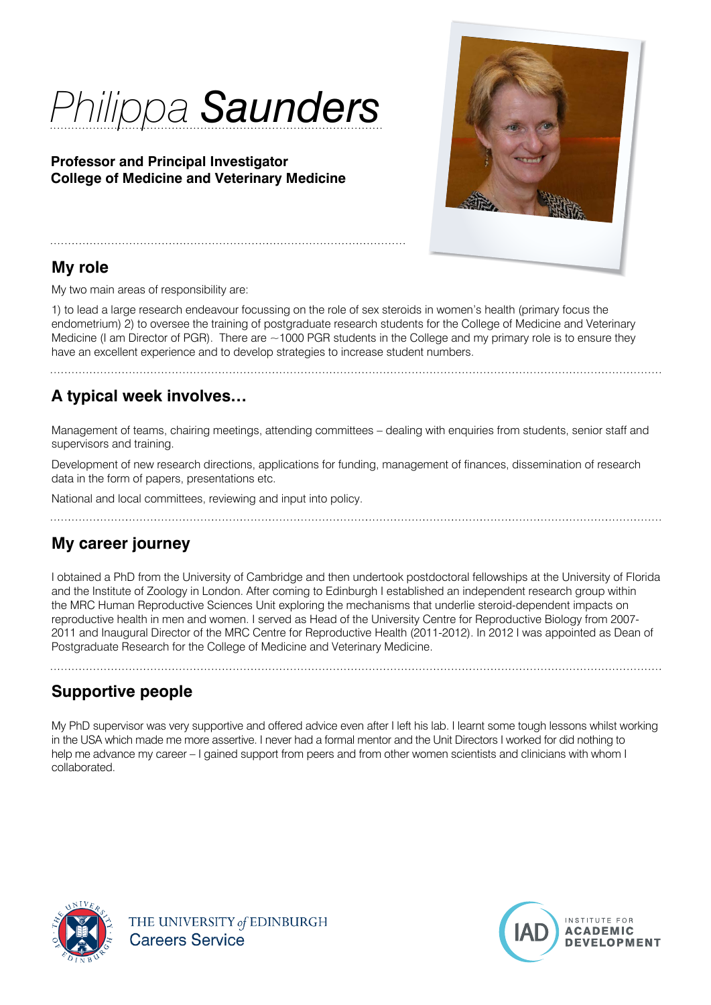# *Philippa Saunders*

#### **Professor and Principal Investigator College of Medicine and Veterinary Medicine**



#### **My role**

My two main areas of responsibility are:

1) to lead a large research endeavour focussing on the role of sex steroids in women's health (primary focus the endometrium) 2) to oversee the training of postgraduate research students for the College of Medicine and Veterinary Medicine (I am Director of PGR). There are  $\sim$ 1000 PGR students in the College and my primary role is to ensure they have an excellent experience and to develop strategies to increase student numbers.

# **A typical week involves…**

Management of teams, chairing meetings, attending committees – dealing with enquiries from students, senior staff and supervisors and training.

Development of new research directions, applications for funding, management of finances, dissemination of research data in the form of papers, presentations etc.

National and local committees, reviewing and input into policy.

# **My career journey**

I obtained a PhD from the University of Cambridge and then undertook postdoctoral fellowships at the University of Florida and the Institute of Zoology in London. After coming to Edinburgh I established an independent research group within the MRC Human Reproductive Sciences Unit exploring the mechanisms that underlie steroid-dependent impacts on reproductive health in men and women. I served as Head of the University Centre for Reproductive Biology from 2007- 2011 and Inaugural Director of the MRC Centre for Reproductive Health (2011-2012). In 2012 I was appointed as Dean of Postgraduate Research for the College of Medicine and Veterinary Medicine.

# **Supportive people**

My PhD supervisor was very supportive and offered advice even after I left his lab. I learnt some tough lessons whilst working in the USA which made me more assertive. I never had a formal mentor and the Unit Directors I worked for did nothing to help me advance my career – I gained support from peers and from other women scientists and clinicians with whom I collaborated.